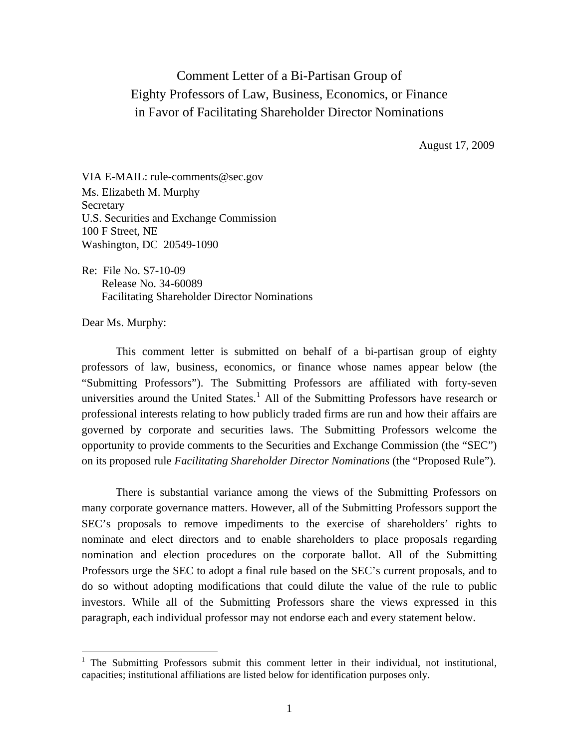## Comment Letter of a Bi-Partisan Group of Eighty Professors of Law, Business, Economics, or Finance in Favor of Facilitating Shareholder Director Nominations

August 17, 2009

VIA E-MAIL: rule-comments@sec.gov Ms. Elizabeth M. Murphy Secretary U.S. Securities and Exchange Commission 100 F Street, NE Washington, DC 20549-1090

Re: File No. S7-10-09 Release No. 34-60089 Facilitating Shareholder Director Nominations

Dear Ms. Murphy:

 $\overline{a}$ 

This comment letter is submitted on behalf of a bi-partisan group of eighty professors of law, business, economics, or finance whose names appear below (the "Submitting Professors"). The Submitting Professors are affiliated with forty-seven universities around the United States.<sup>[1](#page-0-0)</sup> All of the Submitting Professors have research or professional interests relating to how publicly traded firms are run and how their affairs are governed by corporate and securities laws. The Submitting Professors welcome the opportunity to provide comments to the Securities and Exchange Commission (the "SEC") on its proposed rule *Facilitating Shareholder Director Nominations* (the "Proposed Rule").

There is substantial variance among the views of the Submitting Professors on many corporate governance matters. However, all of the Submitting Professors support the SEC's proposals to remove impediments to the exercise of shareholders' rights to nominate and elect directors and to enable shareholders to place proposals regarding nomination and election procedures on the corporate ballot. All of the Submitting Professors urge the SEC to adopt a final rule based on the SEC's current proposals, and to do so without adopting modifications that could dilute the value of the rule to public investors. While all of the Submitting Professors share the views expressed in this paragraph, each individual professor may not endorse each and every statement below.

<span id="page-0-0"></span><sup>&</sup>lt;sup>1</sup> The Submitting Professors submit this comment letter in their individual, not institutional, capacities; institutional affiliations are listed below for identification purposes only.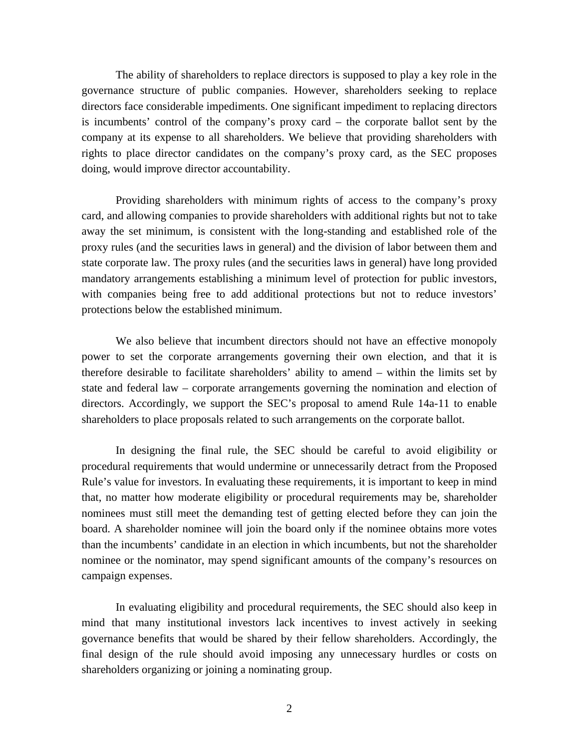The ability of shareholders to replace directors is supposed to play a key role in the governance structure of public companies. However, shareholders seeking to replace directors face considerable impediments. One significant impediment to replacing directors is incumbents' control of the company's proxy card – the corporate ballot sent by the company at its expense to all shareholders. We believe that providing shareholders with rights to place director candidates on the company's proxy card, as the SEC proposes doing, would improve director accountability.

Providing shareholders with minimum rights of access to the company's proxy card, and allowing companies to provide shareholders with additional rights but not to take away the set minimum, is consistent with the long-standing and established role of the proxy rules (and the securities laws in general) and the division of labor between them and state corporate law. The proxy rules (and the securities laws in general) have long provided mandatory arrangements establishing a minimum level of protection for public investors, with companies being free to add additional protections but not to reduce investors' protections below the established minimum.

We also believe that incumbent directors should not have an effective monopoly power to set the corporate arrangements governing their own election, and that it is therefore desirable to facilitate shareholders' ability to amend – within the limits set by state and federal law – corporate arrangements governing the nomination and election of directors. Accordingly, we support the SEC's proposal to amend Rule 14a-11 to enable shareholders to place proposals related to such arrangements on the corporate ballot.

In designing the final rule, the SEC should be careful to avoid eligibility or procedural requirements that would undermine or unnecessarily detract from the Proposed Rule's value for investors. In evaluating these requirements, it is important to keep in mind that, no matter how moderate eligibility or procedural requirements may be, shareholder nominees must still meet the demanding test of getting elected before they can join the board. A shareholder nominee will join the board only if the nominee obtains more votes than the incumbents' candidate in an election in which incumbents, but not the shareholder nominee or the nominator, may spend significant amounts of the company's resources on campaign expenses.

In evaluating eligibility and procedural requirements, the SEC should also keep in mind that many institutional investors lack incentives to invest actively in seeking governance benefits that would be shared by their fellow shareholders. Accordingly, the final design of the rule should avoid imposing any unnecessary hurdles or costs on shareholders organizing or joining a nominating group.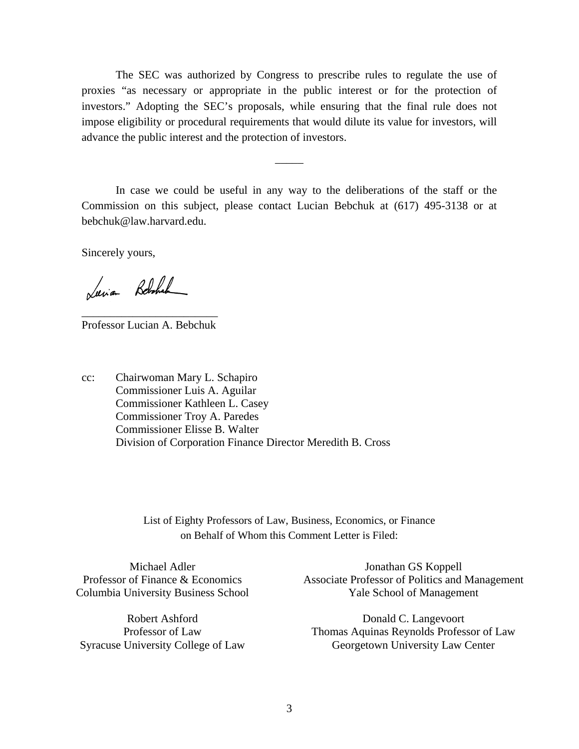The SEC was authorized by Congress to prescribe rules to regulate the use of proxies "as necessary or appropriate in the public interest or for the protection of investors." Adopting the SEC's proposals, while ensuring that the final rule does not impose eligibility or procedural requirements that would dilute its value for investors, will advance the public interest and the protection of investors.

In case we could be useful in any way to the deliberations of the staff or the Commission on this subject, please contact Lucian Bebchuk at (617) 495-3138 or at [bebchuk@law.harvard.edu](mailto:bebchuk@law.harvard.edu).

 $\overline{\phantom{a}}$ 

Sincerely yours,

Luia Belchal

\_\_\_\_\_\_\_\_\_\_\_\_\_\_\_\_\_\_\_\_\_\_\_\_ Professor Lucian A. Bebchuk

cc: Chairwoman Mary L. Schapiro Commissioner Luis A. Aguilar Commissioner Kathleen L. Casey Commissioner Troy A. Paredes Commissioner Elisse B. Walter Division of Corporation Finance Director Meredith B. Cross

> List of Eighty Professors of Law, Business, Economics, or Finance on Behalf of Whom this Comment Letter is Filed:

Michael Adler Professor of Finance & Economics Columbia University Business School

Robert Ashford Professor of Law Syracuse University College of Law

Jonathan GS Koppell Associate Professor of Politics and Management Yale School of Management

Donald C. Langevoort Thomas Aquinas Reynolds Professor of Law Georgetown University Law Center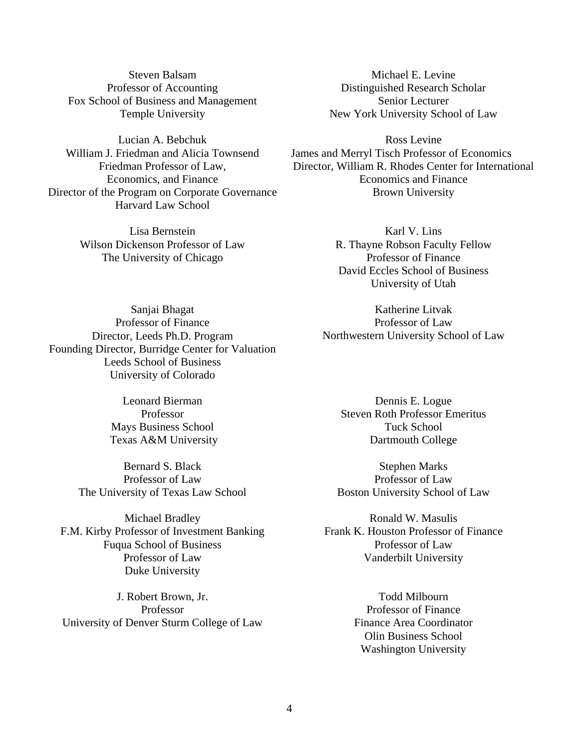Steven Balsam Professor of Accounting Fox School of Business and Management Temple University

Lucian A. Bebchuk William J. Friedman and Alicia Townsend Friedman Professor of Law, Economics, and Finance Director of the Program on Corporate Governance Harvard Law School

> Lisa Bernstein Wilson Dickenson Professor of Law The University of Chicago

Michael E. Levine Distinguished Research Scholar Senior Lecturer New York University School of Law

Ross Levine James and Merryl Tisch Professor of Economics Director, William R. Rhodes Center for International Economics and Finance Brown University

> Karl V. Lins R. Thayne Robson Faculty Fellow Professor of Finance David Eccles School of Business University of Utah

Sanjai Bhagat Professor of Finance Director, Leeds Ph.D. Program Founding Director, Burridge Center for Valuation Leeds School of Business University of Colorado

> Leonard Bierman Professor Mays Business School Texas A&M University

Bernard S. Black Professor of Law The University of Texas Law School

Michael Bradley F.M. Kirby Professor of Investment Banking Fuqua School of Business Professor of Law Duke University

J. Robert Brown, Jr. Professor University of Denver Sturm College of Law Northwestern University School of Law

Katherine Litvak Professor of Law

Dennis E. Logue Steven Roth Professor Emeritus Tuck School Dartmouth College

Stephen Marks Professor of Law Boston University School of Law

Ronald W. Masulis Frank K. Houston Professor of Finance Professor of Law Vanderbilt University

> Todd Milbourn Professor of Finance Finance Area Coordinator Olin Business School Washington University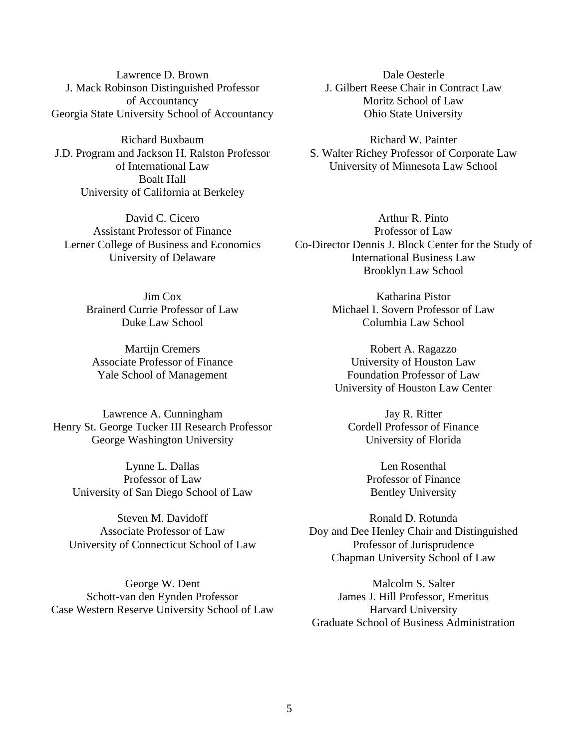Lawrence D. Brown J. Mack Robinson Distinguished Professor of Accountancy Georgia State University School of Accountancy

Richard Buxbaum J.D. Program and Jackson H. Ralston Professor of International Law Boalt Hall University of California at Berkeley

David C. Cicero Assistant Professor of Finance Lerner College of Business and Economics University of Delaware

> Jim Cox Brainerd Currie Professor of Law Duke Law School

Martijn Cremers Associate Professor of Finance Yale School of Management

Lawrence A. Cunningham Henry St. George Tucker III Research Professor George Washington University

Lynne L. Dallas Professor of Law University of San Diego School of Law

Steven M. Davidoff Associate Professor of Law University of Connecticut School of Law

George W. Dent Schott-van den Eynden Professor Case Western Reserve University School of Law

Dale Oesterle J. Gilbert Reese Chair in Contract Law Moritz School of Law Ohio State University

Richard W. Painter S. Walter Richey Professor of Corporate Law University of Minnesota Law School

Arthur R. Pinto Professor of Law Co-Director Dennis J. Block Center for the Study of International Business Law Brooklyn Law School

> Katharina Pistor Michael I. Sovern Professor of Law Columbia Law School

Robert A. Ragazzo University of Houston Law Foundation Professor of Law University of Houston Law Center

Jay R. Ritter Cordell Professor of Finance University of Florida

> Len Rosenthal Professor of Finance Bentley University

Ronald D. Rotunda Doy and Dee Henley Chair and Distinguished Professor of Jurisprudence Chapman University School of Law

Malcolm S. Salter James J. Hill Professor, Emeritus Harvard University Graduate School of Business Administration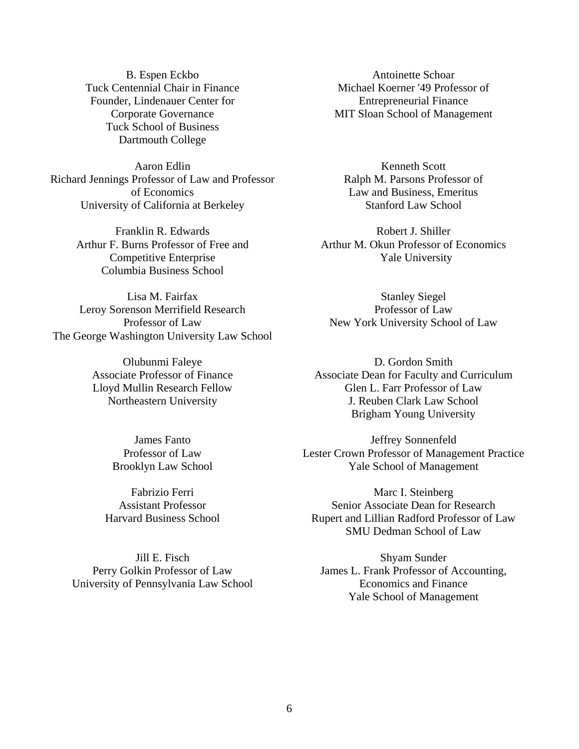B. Espen Eckbo Tuck Centennial Chair in Finance Founder, Lindenauer Center for Corporate Governance Tuck School of Business Dartmouth College

Aaron Edlin Richard Jennings Professor of Law and Professor of Economics University of California at Berkeley

> Franklin R. Edwards Arthur F. Burns Professor of Free and Competitive Enterprise Columbia Business School

Lisa M. Fairfax Leroy Sorenson Merrifield Research Professor of Law The George Washington University Law School

> Olubunmi Faleye Associate Professor of Finance Lloyd Mullin Research Fellow Northeastern University

> > James Fanto Professor of Law Brooklyn Law School

Fabrizio Ferri Assistant Professor Harvard Business School

Jill E. Fisch Perry Golkin Professor of Law University of Pennsylvania Law School

Antoinette Schoar Michael Koerner '49 Professor of Entrepreneurial Finance MIT Sloan School of Management

Kenneth Scott Ralph M. Parsons Professor of Law and Business, Emeritus Stanford Law School

Robert J. Shiller Arthur M. Okun Professor of Economics Yale University

Stanley Siegel Professor of Law New York University School of Law

D. Gordon Smith Associate Dean for Faculty and Curriculum Glen L. Farr Professor of Law J. Reuben Clark Law School Brigham Young University

Jeffrey Sonnenfeld Lester Crown Professor of Management Practice Yale School of Management

Marc I. Steinberg Senior Associate Dean for Research Rupert and Lillian Radford Professor of Law SMU Dedman School of Law

Shyam Sunder James L. Frank Professor of Accounting, Economics and Finance Yale School of Management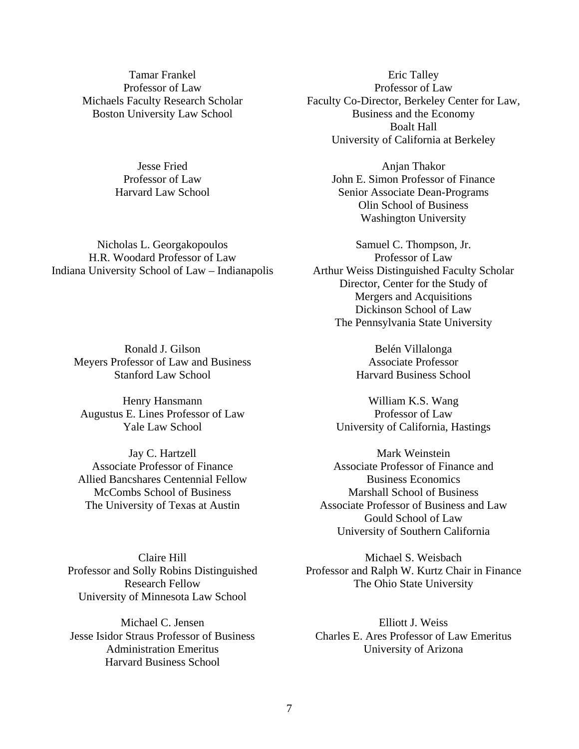Tamar Frankel Professor of Law Michaels Faculty Research Scholar Boston University Law School

> Jesse Fried Professor of Law Harvard Law School

Nicholas L. Georgakopoulos H.R. Woodard Professor of Law Indiana University School of Law – Indianapolis

Ronald J. Gilson Meyers Professor of Law and Business Stanford Law School

Henry Hansmann Augustus E. Lines Professor of Law Yale Law School

Jay C. Hartzell Associate Professor of Finance Allied Bancshares Centennial Fellow McCombs School of Business The University of Texas at Austin

Claire Hill Professor and Solly Robins Distinguished Research Fellow University of Minnesota Law School

Michael C. Jensen Jesse Isidor Straus Professor of Business Administration Emeritus Harvard Business School

Eric Talley Professor of Law Faculty Co-Director, Berkeley Center for Law, Business and the Economy Boalt Hall University of California at Berkeley

> Anjan Thakor John E. Simon Professor of Finance Senior Associate Dean-Programs Olin School of Business Washington University

Samuel C. Thompson, Jr. Professor of Law Arthur Weiss Distinguished Faculty Scholar Director, Center for the Study of Mergers and Acquisitions Dickinson School of Law The Pennsylvania State University

> Belén Villalonga Associate Professor Harvard Business School

William K.S. Wang Professor of Law University of California, Hastings

Mark Weinstein Associate Professor of Finance and Business Economics Marshall School of Business Associate Professor of Business and Law Gould School of Law University of Southern California

Michael S. Weisbach Professor and Ralph W. Kurtz Chair in Finance The Ohio State University

Elliott J. Weiss Charles E. Ares Professor of Law Emeritus University of Arizona